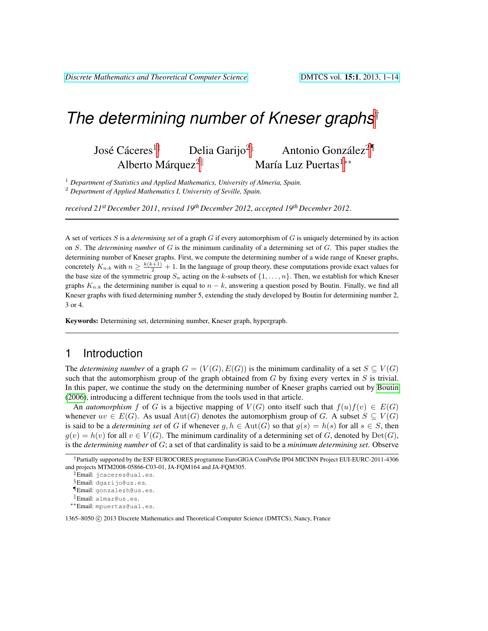# *The determining number of Kneser graphs*†

José Cáceres<sup>1‡</sup> <sup>1‡</sup> Delia Garijo<sup>2§</sup> Antonio González<sup>2¶</sup> Alberto Márquez $2^{\parallel}$ María Luz Puertas<sup>1</sup><sup>∗∗</sup>

<sup>1</sup> *Department of Statistics and Applied Mathematics, University of Almeria, Spain.* <sup>2</sup> *Department of Applied Mathematics I, University of Seville, Spain.*

*received 21st December 2011*, *revised 19th December 2012*, *accepted 19th December 2012*.

A set of vertices S is a *determining set* of a graph G if every automorphism of G is uniquely determined by its action on S. The *determining number* of G is the minimum cardinality of a determining set of G. This paper studies the determining number of Kneser graphs. First, we compute the determining number of a wide range of Kneser graphs, concretely  $K_{n:k}$  with  $n \geq \frac{k(k+1)}{2} + 1$ . In the language of group theory, these computations provide exact values for the base size of the symmetric group  $S_n$  acting on the k-subsets of  $\{1, \ldots, n\}$ . Then, we establish for which Kneser graphs  $K_{n:k}$  the determining number is equal to  $n - k$ , answering a question posed by Boutin. Finally, we find all Kneser graphs with fixed determining number 5, extending the study developed by Boutin for determining number 2, 3 or 4.

Keywords: Determining set, determining number, Kneser graph, hypergraph.

#### 1 Introduction

The *determining number* of a graph  $G = (V(G), E(G))$  is the minimum cardinality of a set  $S \subseteq V(G)$ such that the automorphism group of the graph obtained from  $G$  by fixing every vertex in  $S$  is trivial. In this paper, we continue the study on the determining number of Kneser graphs carried out by [Boutin](#page-13-0) [\(2006\)](#page-13-0), introducing a different technique from the tools used in that article.

An *automorphism* f of G is a bijective mapping of  $V(G)$  onto itself such that  $f(u)f(v) \in E(G)$ whenever  $uv \in E(G)$ . As usual  $Aut(G)$  denotes the automorphism group of G. A subset  $S \subseteq V(G)$ is said to be a *determining set* of G if whenever  $q, h \in Aut(G)$  so that  $q(s) = h(s)$  for all  $s \in S$ , then  $g(v) = h(v)$  for all  $v \in V(G)$ . The minimum cardinality of a determining set of G, denoted by  $Det(G)$ , is the *determining number* of G; a set of that cardinality is said to be a *minimum determining set*. Observe

1365–8050 C 2013 Discrete Mathematics and Theoretical Computer Science (DMTCS), Nancy, France

<sup>†</sup>Partially supported by the ESF EUROCORES programme EuroGIGA ComPoSe IP04 MICINN Project EUI-EURC-2011-4306 and projects MTM2008-05866-C03-01, JA-FQM164 and JA-FQM305.

<sup>‡</sup>Email: jcaceres@ual.es.

<sup>§</sup>Email: dgarijo@us.es.

<sup>¶</sup>Email: gonzalezh@us.es.

<sup>k</sup>Email: almar@us.es.

<sup>∗∗</sup>Email: mpuertas@ual.es.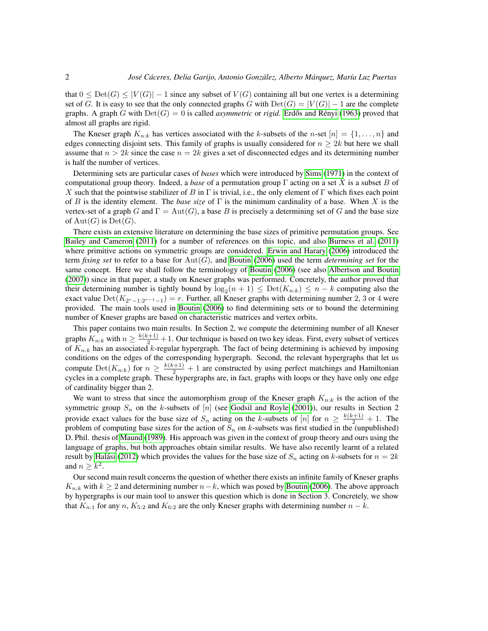that  $0 \leq \mathrm{Det}(G) \leq |V(G)| - 1$  since any subset of  $V(G)$  containing all but one vertex is a determining set of G. It is easy to see that the only connected graphs G with  $Det(G) = |V(G)| - 1$  are the complete graphs. A graph G with  $Det(G) = 0$  is called *asymmetric* or *rigid*. Erdős and Rényi [\(1963\)](#page-13-1) proved that almost all graphs are rigid.

The Kneser graph  $K_{n,k}$  has vertices associated with the k-subsets of the n-set  $[n] = \{1, \ldots, n\}$  and edges connecting disjoint sets. This family of graphs is usually considered for  $n \geq 2k$  but here we shall assume that  $n > 2k$  since the case  $n = 2k$  gives a set of disconnected edges and its determining number is half the number of vertices.

Determining sets are particular cases of *bases* which were introduced by [Sims](#page-13-2) [\(1971\)](#page-13-2) in the context of computational group theory. Indeed, a *base* of a permutation group Γ acting on a set X is a subset B of X such that the pointwise stabilizer of B in  $\Gamma$  is trivial, i.e., the only element of  $\Gamma$  which fixes each point of B is the identity element. The *base size* of Γ is the minimum cardinality of a base. When X is the vertex-set of a graph G and  $\Gamma = \text{Aut}(G)$ , a base B is precisely a determining set of G and the base size of  $Aut(G)$  is  $Det(G)$ .

There exists an extensive literature on determining the base sizes of primitive permutation groups. See [Bailey and Cameron](#page-13-3) [\(2011\)](#page-13-3) for a number of references on this topic, and also [Burness et al.](#page-13-4) [\(2011\)](#page-13-4) where primitive actions on symmetric groups are considered. [Erwin and Harary](#page-13-5) [\(2006\)](#page-13-5) introduced the term *fixing set* to refer to a base for Aut(G), and [Boutin](#page-13-0) [\(2006\)](#page-13-0) used the term *determining set* for the same concept. Here we shall follow the terminology of [Boutin](#page-13-0) [\(2006\)](#page-13-0) (see also [Albertson and Boutin](#page-13-6) [\(2007\)](#page-13-6)) since in that paper, a study on Kneser graphs was performed. Concretely, the author proved that their determining number is tightly bound by  $\log_2(n+1) \leq \text{Det}(K_{n:k}) \leq n-k$  computing also the exact value  $\text{Det}(K_{2r-1:2r-1-1}) = r$ . Further, all Kneser graphs with determining number 2, 3 or 4 were provided. The main tools used in [Boutin](#page-13-0) [\(2006\)](#page-13-0) to find determining sets or to bound the determining number of Kneser graphs are based on characteristic matrices and vertex orbits.

This paper contains two main results. In Section 2, we compute the determining number of all Kneser graphs  $K_{n:k}$  with  $n \geq \frac{k(k+1)}{2} + 1$ . Our technique is based on two key ideas. First, every subset of vertices of  $K_{n:k}$  has an associated k-regular hypergraph. The fact of being determining is achieved by imposing conditions on the edges of the corresponding hypergraph. Second, the relevant hypergraphs that let us compute  $\mathrm{Det}(K_{n:k})$  for  $n \geq \frac{k(k+1)}{2} + 1$  are constructed by using perfect matchings and Hamiltonian cycles in a complete graph. These hypergraphs are, in fact, graphs with loops or they have only one edge of cardinality bigger than 2.

We want to stress that since the automorphism group of the Kneser graph  $K_{n:k}$  is the action of the symmetric group  $S_n$  on the k-subsets of [n] (see [Godsil and Royle](#page-13-7) [\(2001\)](#page-13-7)), our results in Section 2 provide exact values for the base size of  $S_n$  acting on the k-subsets of [n] for  $n \geq \frac{k(k+1)}{2} + 1$ . The problem of computing base sizes for the action of  $S_n$  on k-subsets was first studied in the (unpublished) D. Phil. thesis of [Maund](#page-13-8) [\(1989\)](#page-13-8). His approach was given in the context of group theory and ours using the language of graphs, but both approaches obtain similar results. We have also recently learnt of a related result by Halási [\(2012\)](#page-13-9) which provides the values for the base size of  $S_n$  acting on k-subsets for  $n = 2k$ and  $n \geq k^2$ .

Our second main result concerns the question of whether there exists an infinite family of Kneser graphs  $K_{n:k}$  with  $k \geq 2$  and determining number  $n-k$ , which was posed by [Boutin](#page-13-0) [\(2006\)](#page-13-0). The above approach by hypergraphs is our main tool to answer this question which is done in Section 3. Concretely, we show that  $K_{n:1}$  for any n,  $K_{5:2}$  and  $K_{6:2}$  are the only Kneser graphs with determining number  $n - k$ .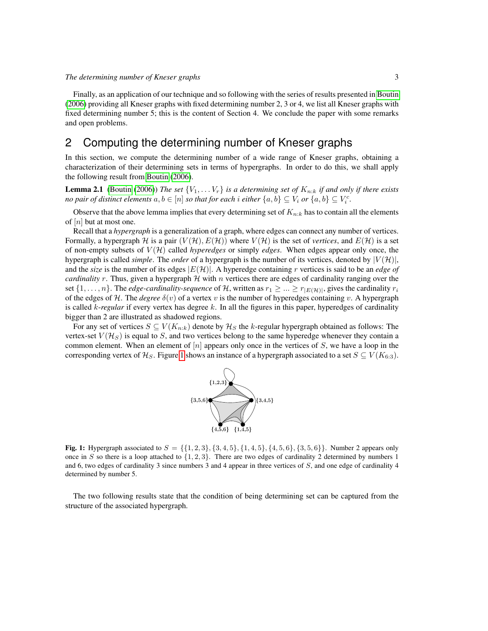Finally, as an application of our technique and so following with the series of results presented in [Boutin](#page-13-0) [\(2006\)](#page-13-0) providing all Kneser graphs with fixed determining number 2, 3 or 4, we list all Kneser graphs with fixed determining number 5; this is the content of Section 4. We conclude the paper with some remarks and open problems.

#### 2 Computing the determining number of Kneser graphs

In this section, we compute the determining number of a wide range of Kneser graphs, obtaining a characterization of their determining sets in terms of hypergraphs. In order to do this, we shall apply the following result from [Boutin](#page-13-0) [\(2006\)](#page-13-0).

<span id="page-2-1"></span>**Lemma 2.1** [\(Boutin](#page-13-0) [\(2006\)](#page-13-0)) *The set*  $\{V_1, \ldots V_r\}$  *is a determining set of*  $K_{n:k}$  *if and only if there exists no pair of distinct elements*  $a, b \in [n]$  *so that for each i either*  $\{a, b\} \subseteq V_i$  *or*  $\{a, b\} \subseteq V_i^c$ *.* 

Observe that the above lemma implies that every determining set of  $K_{n:k}$  has to contain all the elements of  $[n]$  but at most one.

Recall that a *hypergraph* is a generalization of a graph, where edges can connect any number of vertices. Formally, a hypergraph H is a pair  $(V(H), E(H))$  where  $V(H)$  is the set of *vertices*, and  $E(H)$  is a set of non-empty subsets of V (H) called *hyperedges* or simply *edges*. When edges appear only once, the hypergraph is called *simple*. The *order* of a hypergraph is the number of its vertices, denoted by  $|V(H)|$ , and the *size* is the number of its edges |E(H)|. A hyperedge containing r vertices is said to be an *edge of cardinality* r. Thus, given a hypergraph  $H$  with n vertices there are edges of cardinality ranging over the set  $\{1,\ldots,n\}$ . The *edge-cardinality-sequence* of H, written as  $r_1 \geq \ldots \geq r_{|E(\mathcal{H})|}$ , gives the cardinality  $r_i$ of the edges of H. The *degree*  $\delta(v)$  of a vertex v is the number of hyperedges containing v. A hypergraph is called  $k$ -regular if every vertex has degree  $k$ . In all the figures in this paper, hyperedges of cardinality bigger than 2 are illustrated as shadowed regions.

For any set of vertices  $S \subseteq V(K_{n:k})$  denote by  $\mathcal{H}_S$  the k-regular hypergraph obtained as follows: The vertex-set  $V(\mathcal{H}_S)$  is equal to S, and two vertices belong to the same hyperedge whenever they contain a common element. When an element of  $[n]$  appears only once in the vertices of  $S$ , we have a loop in the corresponding vertex of  $\mathcal{H}_S$ . Figure [1](#page-2-0) shows an instance of a hypergraph associated to a set  $S \subseteq V(K_{6:3})$ .



<span id="page-2-0"></span>**Fig. 1:** Hypergraph associated to  $S = \{\{1, 2, 3\}, \{3, 4, 5\}, \{1, 4, 5\}, \{4, 5, 6\}, \{3, 5, 6\}\}\.$  Number 2 appears only once in S so there is a loop attached to  $\{1, 2, 3\}$ . There are two edges of cardinality 2 determined by numbers 1 and 6, two edges of cardinality 3 since numbers 3 and 4 appear in three vertices of S, and one edge of cardinality 4 determined by number 5.

<span id="page-2-2"></span>The two following results state that the condition of being determining set can be captured from the structure of the associated hypergraph.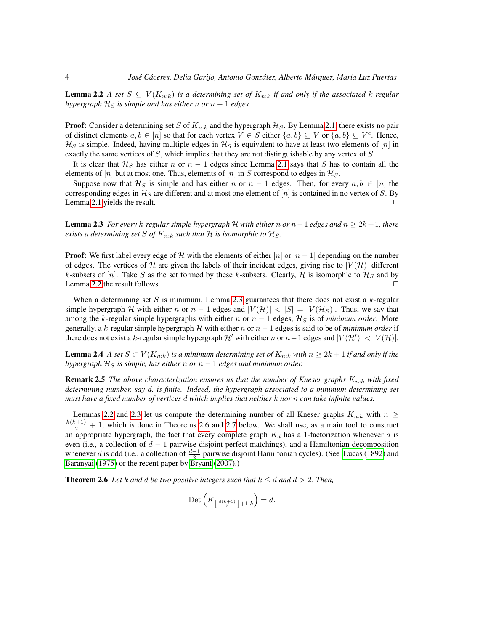**Lemma 2.2** *A set*  $S \subseteq V(K_{n:k})$  *is a determining set of*  $K_{n:k}$  *if and only if the associated k-regular hypergraph*  $H_S$  *is simple and has either n or*  $n - 1$  *edges.* 

**Proof:** Consider a determining set S of  $K_{n:k}$  and the hypergraph  $\mathcal{H}_S$ . By Lemma [2.1,](#page-2-1) there exists no pair of distinct elements  $a, b \in [n]$  so that for each vertex  $V \in S$  either  $\{a, b\} \subseteq V$  or  $\{a, b\} \subseteq V^c$ . Hence,  $\mathcal{H}_S$  is simple. Indeed, having multiple edges in  $\mathcal{H}_S$  is equivalent to have at least two elements of [n] in exactly the same vertices of  $S$ , which implies that they are not distinguishable by any vertex of  $S$ .

It is clear that  $\mathcal{H}_S$  has either n or  $n - 1$  edges since Lemma [2.1](#page-2-1) says that S has to contain all the elements of  $[n]$  but at most one. Thus, elements of  $[n]$  in S correspond to edges in  $\mathcal{H}_S$ .

Suppose now that  $\mathcal{H}_S$  is simple and has either n or  $n - 1$  edges. Then, for every  $a, b \in [n]$  the corresponding edges in  $\mathcal{H}_S$  are different and at most one element of  $[n]$  is contained in no vertex of S. By Lemma [2.1](#page-2-1) yields the result.  $\Box$ 

<span id="page-3-0"></span>Lemma 2.3 *For every* k*-regular simple hypergraph* H *with either* n *or* n−1 *edges and* n ≥ 2k+ 1*, there exists a determining set S of*  $K_{n:k}$  *such that*  $H$  *is isomorphic to*  $H_S$ *.* 

**Proof:** We first label every edge of H with the elements of either  $[n]$  or  $[n-1]$  depending on the number of edges. The vertices of H are given the labels of their incident edges, giving rise to  $|V(\mathcal{H})|$  different k-subsets of [n]. Take S as the set formed by these k-subsets. Clearly, H is isomorphic to  $\mathcal{H}_S$  and by Lemma [2.2](#page-2-2) the result follows.  $\Box$ 

When a determining set S is minimum, Lemma [2.3](#page-3-0) guarantees that there does not exist a  $k$ -regular simple hypergraph H with either n or  $n-1$  edges and  $|V(H)| < |S| = |V(H_S)|$ . Thus, we say that among the k-regular simple hypergraphs with either n or  $n - 1$  edges,  $\mathcal{H}_S$  is of *minimum order*. More generally, a k-regular simple hypergraph  $H$  with either n or  $n - 1$  edges is said to be of *minimum order* if there does not exist a k-regular simple hypergraph  $\mathcal{H}'$  with either n or  $n-1$  edges and  $|V(\mathcal{H}')| < |V(\mathcal{H})|$ .

<span id="page-3-2"></span>**Lemma 2.4** *A set*  $S \subset V(K_{n:k})$  *is a minimum determining set of*  $K_{n:k}$  *with*  $n \geq 2k+1$  *if and only if the hypergraph*  $H_S$  *is simple, has either*  $n$  *or*  $n - 1$  *edges and minimum order.* 

**Remark 2.5** *The above characterization ensures us that the number of Kneser graphs*  $K_{n:k}$  *with fixed determining number, say* d*, is finite. Indeed, the hypergraph associated to a minimum determining set must have a fixed number of vertices* d *which implies that neither* k *nor* n *can take infinite values.*

Lemmas [2.2](#page-2-2) and [2.3](#page-3-0) let us compute the determining number of all Kneser graphs  $K_{n:k}$  with  $n \geq$  $\frac{k(k+1)}{2}$  + 1, which is done in Theorems [2.6](#page-3-1) and [2.7](#page-5-0) below. We shall use, as a main tool to construct an appropriate hypergraph, the fact that every complete graph  $K_d$  has a 1-factorization whenever d is even (i.e., a collection of  $d-1$  pairwise disjoint perfect matchings), and a Hamiltonian decomposition whenever d is odd (i.e., a collection of  $\frac{d-1}{2}$  pairwise disjoint Hamiltonian cycles). (See [Lucas](#page-13-10) [\(1892\)](#page-13-10) and [Baranyai](#page-13-11) [\(1975\)](#page-13-11) or the recent paper by [Bryant](#page-13-12) [\(2007\)](#page-13-12).)

<span id="page-3-1"></span>**Theorem 2.6** Let k and d be two positive integers such that  $k \leq d$  and  $d > 2$ . Then,

$$
\mathrm{Det}\left(K_{\left\lfloor\frac{d(k+1)}{2}\right\rfloor+1:k}\right) = d.
$$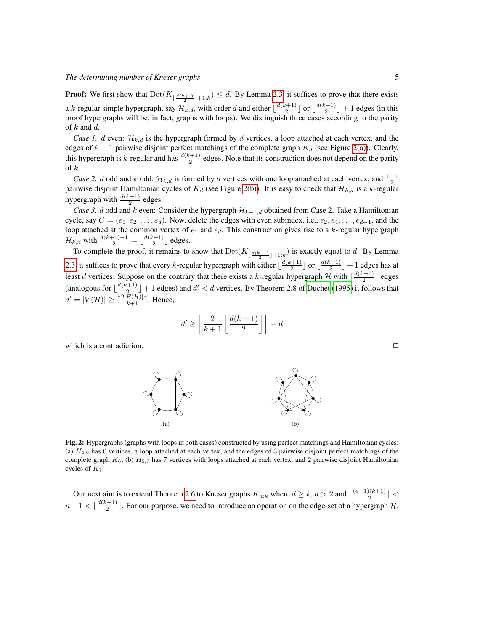#### *The determining number of Kneser graphs* 5

**Proof:** We first show that  $Det(K_{\lfloor \frac{d(k+1)}{2} \rfloor+1:k}) \leq d$ . By Lemma [2.3,](#page-3-0) it suffices to prove that there exists a k-regular simple hypergraph, say  $\mathcal{H}_{k,d}$ , with order d and either  $\lfloor \frac{d(k+1)}{2} \rfloor$  $\frac{(-+1)}{2}$  or  $\lfloor \frac{d(k+1)}{2} \rfloor$  $\left[\frac{z+1}{2}\right]+1$  edges (in this proof hypergraphs will be, in fact, graphs with loops). We distinguish three cases according to the parity of  $k$  and  $d$ .

*Case 1. d* even:  $\mathcal{H}_{k,d}$  is the hypergraph formed by d vertices, a loop attached at each vertex, and the edges of  $k - 1$  pairwise disjoint perfect matchings of the complete graph  $K_d$  (see Figure [2\(a\)\)](#page-4-0). Clearly, this hypergraph is k-regular and has  $\frac{d(k+1)}{2}$  edges. Note that its construction does not depend on the parity of  $k$ .

*Case 2. d* odd and k odd:  $\mathcal{H}_{k,d}$  is formed by d vertices with one loop attached at each vertex, and  $\frac{k-1}{2}$ pairwise disjoint Hamiltonian cycles of  $K_d$  (see Figure [2\(b\)\)](#page-4-1). It is easy to check that  $\mathcal{H}_{k,d}$  is a k-regular hypergraph with  $\frac{d(k+1)}{2}$  edges.

*Case 3. d* odd and k even: Consider the hypergraph  $\mathcal{H}_{k+1,d}$  obtained from Case 2. Take a Hamiltonian cycle, say  $C = (e_1, e_2, \dots, e_d)$ . Now, delete the edges with even subindex, i.e.,  $e_2, e_4, \dots, e_{d-1}$ , and the loop attached at the common vertex of  $e_1$  and  $e_d$ . This construction gives rise to a k-regular hypergraph  $\mathcal{H}_{k,d}$  with  $\frac{d(k+1)-1}{2} = \lfloor \frac{d(k+1)}{2} \rfloor$  $\frac{(-+1)}{2}$  edges.

To complete the proof, it remains to show that  $Det(K_{\lfloor \frac{d(k+1)}{2} \rfloor+1:k})$  is exactly equal to d. By Lemma [2.3,](#page-3-0) it suffices to prove that every k-regular hypergraph with either  $\lfloor \frac{d(k+1)}{2} \rfloor$  $\frac{(-+1)}{2}$  or  $\lfloor \frac{d(k+1)}{2} \rfloor$  $\left[\frac{z+1}{2}\right]+1$  edges has at least d vertices. Suppose on the contrary that there exists a k-regular hypergraph H with  $\lfloor \frac{d(k+1)}{2} \rfloor$  $\frac{z+1}{2}$  edges (analogous for  $\lfloor \frac{d(k+1)}{2} \rfloor$  $\frac{2^{(2+1)}}{2}$  + 1 edges) and  $d' < d$  vertices. By Theorem 2.8 of [Duchet](#page-13-13) [\(1995\)](#page-13-13) it follows that  $d' = |V(\mathcal{H})| \ge \lceil \frac{2|E(\mathcal{H})|}{k+1} \rceil$ . Hence,

<span id="page-4-1"></span>
$$
d'\geq \left\lceil\frac{2}{k+1}\left\lfloor\frac{d(k+1)}{2}\right\rfloor\right\rceil=d
$$

<span id="page-4-0"></span>which is a contradiction.  $\Box$ 



Fig. 2: Hypergraphs (graphs with loops in both cases) constructed by using perfect matchings and Hamiltonian cycles: (a)  $H_{4,6}$  has 6 vertices, a loop attached at each vertex, and the edges of 3 pairwise disjoint perfect matchings of the complete graph  $K_6$ , (b)  $H_{5,7}$  has 7 vertices with loops attached at each vertex, and 2 pairwise disjoint Hamiltonian cycles of  $K_7$ .

Our next aim is to extend Theorem [2.6](#page-3-1) to Kneser graphs  $K_{n:k}$  where  $d \geq k, d > 2$  and  $\lfloor \frac{(d-1)(k+1)}{2} \rfloor$  $\frac{1}{2}$   $\left[\frac{\kappa+1}{2}\right]$   $\leq$  $n-1 < \frac{d(k+1)}{2}$  $\frac{(n+1)}{2}$ . For our purpose, we need to introduce an operation on the edge-set of a hypergraph H.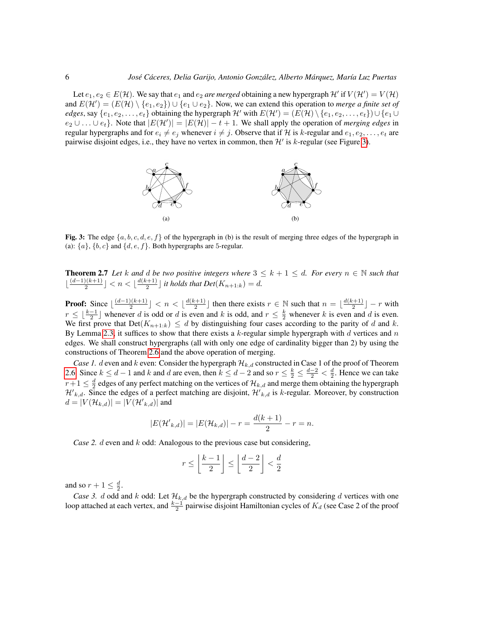Let  $e_1, e_2 \in E(H)$ . We say that  $e_1$  and  $e_2$  *are merged* obtaining a new hypergraph  $H'$  if  $V(H') = V(H)$ and  $E(\mathcal{H}') = (E(\mathcal{H}) \setminus \{e_1, e_2\}) \cup \{e_1 \cup e_2\}$ . Now, we can extend this operation to *merge a finite set of edges*, say  $\{e_1, e_2, \ldots, e_t\}$  obtaining the hypergraph H' with  $E(\mathcal{H}') = (E(\mathcal{H}) \setminus \{e_1, e_2, \ldots, e_t\}) \cup \{e_1 \cup e_2\}$  $e_2 \cup \ldots \cup e_t$ . Note that  $|E(\mathcal{H}')| = |E(\mathcal{H})| - t + 1$ . We shall apply the operation of *merging edges* in regular hypergraphs and for  $e_i \neq e_j$  whenever  $i \neq j$ . Observe that if H is k-regular and  $e_1, e_2, \ldots, e_t$  are pairwise disjoint edges, i.e., they have no vertex in common, then  $\mathcal{H}'$  is k-regular (see Figure [3\)](#page-5-1).



<span id="page-5-1"></span>Fig. 3: The edge  $\{a, b, c, d, e, f\}$  of the hypergraph in (b) is the result of merging three edges of the hypergraph in (a):  $\{a\}$ ,  $\{b, c\}$  and  $\{d, e, f\}$ . Both hypergraphs are 5-regular.

<span id="page-5-0"></span>**Theorem 2.7** Let k and d be two positive integers where  $3 \leq k+1 \leq d$ . For every  $n \in \mathbb{N}$  such that  $\frac{(d-1)(k+1)}{2}$  $\frac{O(k+1)}{2}$  |  $< n < \lfloor \frac{d(k+1)}{2} \rfloor$  $\left[\frac{n+1}{2}\right]$  *it holds that Det*( $K_{n+1:k}$ ) = *d.* 

**Proof:** Since  $\lfloor \frac{(d-1)(k+1)}{2} \rfloor$  $\frac{1}{2}$ (k+1)  $\left\lfloor \frac{d(k+1)}{2} \right\rfloor$  $\lfloor \frac{n+1}{2} \rfloor$  then there exists  $r \in \mathbb{N}$  such that  $n = \lfloor \frac{d(k+1)}{2} \rfloor$  $\left[\frac{n+1}{2}\right]$  – r with  $r \leq \lfloor \frac{k-1}{2} \rfloor$  whenever d is odd or d is even and k is odd, and  $r \leq \frac{k}{2}$  whenever k is even and d is even. We first prove that  $Det(K_{n+1:k}) \leq d$  by distinguishing four cases according to the parity of d and k. By Lemma [2.3,](#page-3-0) it suffices to show that there exists a  $k$ -regular simple hypergraph with  $d$  vertices and  $n$ edges. We shall construct hypergraphs (all with only one edge of cardinality bigger than 2) by using the constructions of Theorem [2.6](#page-3-1) and the above operation of merging.

*Case 1. d* even and k even: Consider the hypergraph  $\mathcal{H}_{k,d}$  constructed in Case 1 of the proof of Theorem [2.6.](#page-3-1) Since  $k \leq d-1$  and k and d are even, then  $k \leq d-2$  and so  $r \leq \frac{k}{2} \leq \frac{d-2}{2} < \frac{d}{2}$ . Hence we can take  $r+1\leq \frac{d}{2}$  edges of any perfect matching on the vertices of  $\mathcal{H}_{k,d}$  and merge them obtaining the hypergraph  $\mathcal{H}'_{k,d}$ . Since the edges of a perfect matching are disjoint,  $\mathcal{H}'_{k,d}$  is k-regular. Moreover, by construction  $d = |V(\mathcal{H}_{k,d})| = |V(\mathcal{H'}_{k,d})|$  and

$$
|E(\mathcal{H}'_{k,d})| = |E(\mathcal{H}_{k,d})| - r = \frac{d(k+1)}{2} - r = n.
$$

*Case 2. d* even and *k* odd: Analogous to the previous case but considering,

$$
r \le \left\lfloor \frac{k-1}{2} \right\rfloor \le \left\lfloor \frac{d-2}{2} \right\rfloor < \frac{d}{2}
$$

and so  $r+1 \leq \frac{d}{2}$ .

*Case 3. d* odd and k odd: Let  $\mathcal{H}_{k,d}$  be the hypergraph constructed by considering d vertices with one loop attached at each vertex, and  $\frac{k-1}{2}$  pairwise disjoint Hamiltonian cycles of  $K_d$  (see Case 2 of the proof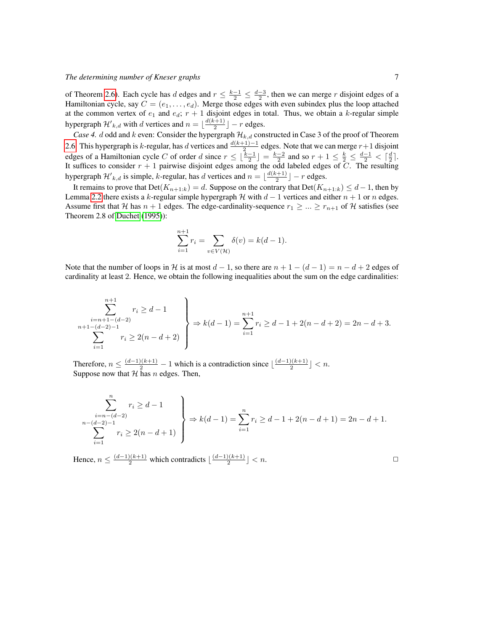of Theorem [2.6\)](#page-3-1). Each cycle has d edges and  $r \leq \frac{k-1}{2} \leq \frac{d-3}{2}$ , then we can merge r disjoint edges of a Hamiltonian cycle, say  $C = (e_1, \ldots, e_d)$ . Merge those edges with even subindex plus the loop attached at the common vertex of  $e_1$  and  $e_d$ ;  $r + 1$  disjoint edges in total. Thus, we obtain a k-regular simple hypergraph  $\mathcal{H}'_{k,d}$  with d vertices and  $n = \lfloor \frac{d(k+1)}{2} \rfloor$  $\lfloor \frac{r+1}{2} \rfloor - r$  edges.

*Case 4. d* odd and k even: Consider the hypergraph  $\mathcal{H}_{k,d}$  constructed in Case 3 of the proof of Theorem [2.6.](#page-3-1) This hypergraph is k-regular, has d vertices and  $\frac{d(k+1)-1}{2}$  edges. Note that we can merge  $r+1$  disjoint edges of a Hamiltonian cycle C of order d since  $r \leq \lfloor \frac{k-1}{2} \rfloor = \frac{k-2}{2}$  and so  $r + 1 \leq \frac{k}{2} \leq \frac{d-1}{2} < \lceil \frac{d}{2} \rceil$ . It suffices to consider  $r + 1$  pairwise disjoint edges among the odd labeled edges of C. The resulting hypergraph  $\mathcal{H}'_{k,d}$  is simple, k-regular, has d vertices and  $n = \lfloor \frac{d(k+1)}{2} \rfloor$  $\left[\frac{r+1}{2}\right]$  – r edges.

It remains to prove that  $Det(K_{n+1:k}) = d$ . Suppose on the contrary that  $Det(K_{n+1:k}) \leq d-1$ , then by Lemma [2.2](#page-2-2) there exists a k-regular simple hypergraph H with  $d-1$  vertices and either  $n+1$  or n edges. Assume first that H has  $n + 1$  edges. The edge-cardinality-sequence  $r_1 \geq \ldots \geq r_{n+1}$  of H satisfies (see Theorem 2.8 of [Duchet](#page-13-13) [\(1995\)](#page-13-13)):

$$
\sum_{i=1}^{n+1} r_i = \sum_{v \in V(\mathcal{H})} \delta(v) = k(d-1).
$$

Note that the number of loops in H is at most  $d-1$ , so there are  $n+1-(d-1)=n-d+2$  edges of cardinality at least 2. Hence, we obtain the following inequalities about the sum on the edge cardinalities:

$$
\sum_{\substack{i=n+1-(d-2)-1\\n+1-(d-2)-1\\i=1}}^{n+1} r_i \geq d-1
$$
\n
$$
\sum_{i=1}^{n+1} r_i \geq 2(n-d+2)
$$
\n
$$
\Rightarrow k(d-1) = \sum_{i=1}^{n+1} r_i \geq d-1 + 2(n-d+2) = 2n-d+3.
$$

Therefore,  $n \leq \frac{(d-1)(k+1)}{2} - 1$  which is a contradiction since  $\lfloor \frac{(d-1)(k+1)}{2} \rfloor$  $\frac{2^{((k+1))}}{2}$  | < n. Suppose now that  $H$  has  $n$  edges. Then,

$$
\sum_{\substack{i=n-(d-2)-1\\n-(d-2)-1\\i=1}}^{n} r_i \geq d-1
$$
\n
$$
\left.\sum_{i=1}^{n-(d-2)} r_i \geq 2(n-d+1)\right\} \Rightarrow k(d-1) = \sum_{i=1}^{n} r_i \geq d-1 + 2(n-d+1) = 2n-d+1.
$$

Hence,  $n \leq \frac{(d-1)(k+1)}{2}$  which contradicts  $\lfloor \frac{(d-1)(k+1)}{2} \rfloor$  $\lfloor \frac{(k+1)}{2} \rfloor < n.$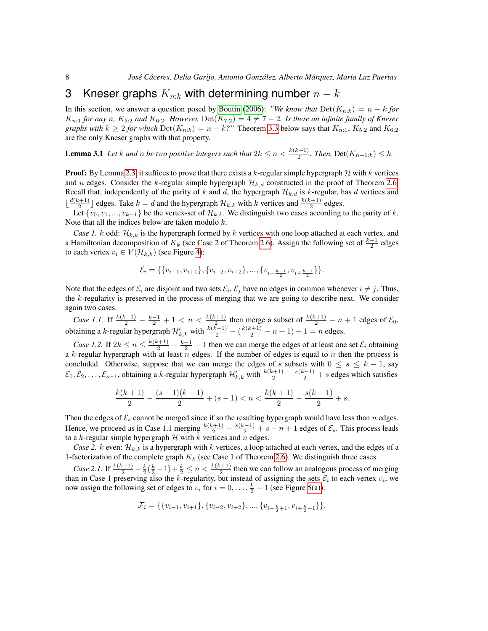#### 3 Kneser graphs  $K_{n:k}$  with determining number  $n-k$

In this section, we answer a question posed by [Boutin](#page-13-0) [\(2006\)](#page-13-0): "We know that  $Det(K_{n:k}) = n - k$  for  $K_{n:1}$  *for any* n,  $K_{5:2}$  *and*  $K_{6:2}$ *. However,*  $Det(K_{7:2}) = 4 \neq 7 - 2$ *. Is there an infinite family of Kneser graphs with*  $k \geq 2$  *for which* Det $(K_{n:k}) = n - k$ ?" Theorem [3.3](#page-8-0) below says that  $K_{n:1}$ ,  $K_{5:2}$  and  $K_{6:2}$ are the only Kneser graphs with that property.

<span id="page-7-0"></span>**Lemma 3.1** Let k and n be two positive integers such that  $2k \leq n < \frac{k(k+1)}{2}$ . Then,  $Det(K_{n+1:k}) \leq k$ .

**Proof:** By Lemma [2.3,](#page-3-0) it suffices to prove that there exists a k-regular simple hypergraph  $H$  with k vertices and n edges. Consider the k-regular simple hypergraph  $\mathcal{H}_{k,d}$  constructed in the proof of Theorem [2.6.](#page-3-1) Recall that, independently of the parity of k and d, the hypergraph  $\mathcal{H}_{k,d}$  is k-regular, has d vertices and  $\frac{d(k+1)}{2}$  $\frac{(k+1)}{2}$  edges. Take  $k = d$  and the hypergraph  $\mathcal{H}_{k,k}$  with k vertices and  $\frac{k(k+1)}{2}$  edges.

Let  $\{v_0, v_1, ..., v_{k-1}\}$  be the vertex-set of  $\mathcal{H}_{k,k}$ . We distinguish two cases according to the parity of k. Note that all the indices below are taken modulo  $k$ .

*Case 1.* k odd:  $\mathcal{H}_{k,k}$  is the hypergraph formed by k vertices with one loop attached at each vertex, and a Hamiltonian decomposition of  $K_k$  (see Case 2 of Theorem [2.6\)](#page-3-1). Assign the following set of  $\frac{k-1}{2}$  edges to each vertex  $v_i \in V(\mathcal{H}_{k,k})$  (see Figure [4\)](#page-8-1):

$$
\mathcal{E}_i = \{ \{v_{i-1}, v_{i+1}\}, \{v_{i-2}, v_{i+2}\}, \dots, \{v_{i-\frac{k-1}{2}}, v_{i+\frac{k-1}{2}}\} \}.
$$

Note that the edges of  $\mathcal{E}_i$  are disjoint and two sets  $\mathcal{E}_i$ ,  $\mathcal{E}_j$  have no edges in common whenever  $i \neq j$ . Thus, the  $k$ -regularity is preserved in the process of merging that we are going to describe next. We consider again two cases.

*Case 1.1.* If  $\frac{k(k+1)}{2} - \frac{k-1}{2} + 1 < n < \frac{k(k+1)}{2}$  then merge a subset of  $\frac{k(k+1)}{2} - n + 1$  edges of  $\mathcal{E}_0$ , obtaining a k-regular hypergraph  $\mathcal{H}'_{k,k}$  with  $\frac{k(k+1)}{2} - (\frac{k(k+1)}{2} - n + 1) + 1 = n$  edges.

*Case 1.2.* If  $2k \le n \le \frac{k(k+1)}{2} - \frac{k-1}{2} + 1$  then we can merge the edges of at least one set  $\mathcal{E}_i$  obtaining a k-regular hypergraph with at least  $\tilde{n}$  edges. If the number of edges is equal to n then the process is concluded. Otherwise, suppose that we can merge the edges of s subsets with  $0 \leq s \leq k - 1$ , say  $\mathcal{E}_0, \mathcal{E}_2, \ldots, \mathcal{E}_{s-1}$ , obtaining a k-regular hypergraph  $\mathcal{H}'_{k,k}$  with  $\frac{k(k+1)}{2} - \frac{s(k-1)}{2} + s$  edges which satisfies

$$
\frac{k(k+1)}{2} - \frac{(s-1)(k-1)}{2} + (s-1) < n < \frac{k(k+1)}{2} - \frac{s(k-1)}{2} + s.
$$

Then the edges of  $\mathcal{E}_s$  cannot be merged since if so the resulting hypergraph would have less than n edges. Hence, we proceed as in Case 1.1 merging  $\frac{k(k+1)}{2} - \frac{s(k-1)}{2} + s - n + 1$  edges of  $\mathcal{E}_s$ . This process leads to a k-regular simple hypergraph  $H$  with  $k$  vertices and  $n$  edges.

*Case 2.* k even:  $\mathcal{H}_{k,k}$  is a hypergraph with k vertices, a loop attached at each vertex, and the edges of a 1-factorization of the complete graph  $K_k$  (see Case 1 of Theorem [2.6\)](#page-3-1). We distinguish three cases.

*Case 2.1.* If  $\frac{k(k+1)}{2} - \frac{k}{2}(\frac{k}{2}-1) + \frac{k}{2} \le n < \frac{k(k+1)}{2}$  then we can follow an analogous process of merging than in Case 1 preserving also the k-regularity, but instead of assigning the sets  $\mathcal{E}_i$  to each vertex  $v_i$ , we now assign the following set of edges to  $v_i$  for  $i = 0, \ldots, \frac{k}{2} - 1$  (see Figure [5\(a\)\)](#page-9-0):

$$
\mathcal{F}_i = \{ \{v_{i-1}, v_{i+1}\}, \{v_{i-2}, v_{i+2}\}, \dots, \{v_{i-\frac{k}{2}+1}, v_{i+\frac{k}{2}-1}\} \}.
$$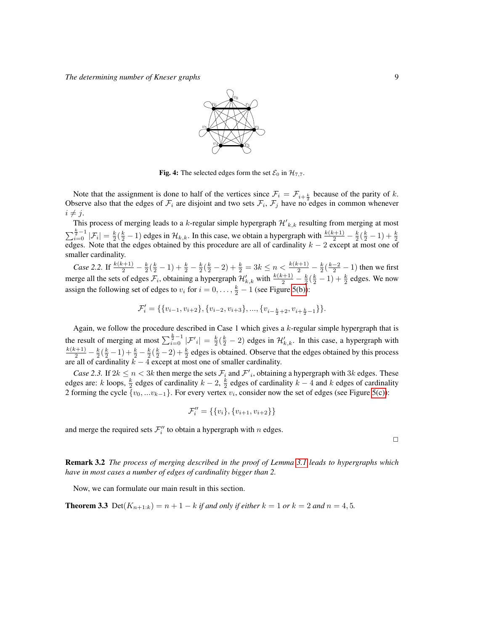

<span id="page-8-1"></span>Fig. 4: The selected edges form the set  $\mathcal{E}_0$  in  $\mathcal{H}_{7,7}$ .

Note that the assignment is done to half of the vertices since  $\mathcal{F}_i = \mathcal{F}_{i+\frac{k}{2}}$  because of the parity of k. Observe also that the edges of  $\mathcal{F}_i$  are disjoint and two sets  $\mathcal{F}_i$ ,  $\mathcal{F}_j$  have no edges in common whenever  $i \neq j$ .

This process of merging leads to a k-regular simple hypergraph  $\mathcal{H'}_{k,k}$  resulting from merging at most  $\sum_{i=0}^{\frac{k}{2}-1} |\mathcal{F}_i| = \frac{k}{2}(\frac{k}{2}-1)$  edges in  $\mathcal{H}_{k,k}$ . In this case, we obtain a hypergraph with  $\frac{k(k+1)}{2} - \frac{k}{2}(\frac{k}{2}-1) + \frac{k}{2}$  edges. Note that the edges obtained by this procedure are all of cardinality  $k$ smaller cardinality.

*Case* 2.2. If  $\frac{k(k+1)}{2} - \frac{k}{2}(\frac{k}{2} - 1) + \frac{k}{2} - \frac{k}{2}(\frac{k}{2} - 2) + \frac{k}{2} = 3k \le n < \frac{k(k+1)}{2} - \frac{k}{2}(\frac{k-2}{2} - 1)$  then we first merge all the sets of edges  $\mathcal{F}_i$ , obtaining a hypergraph  $\mathcal{H}'_{k,k}$  with  $\frac{k(k+1)}{2} - \frac{k}{2}(\frac{k}{2} - 1) + \frac{k}{2}$  edges. We now assign the following set of edges to  $v_i$  for  $i = 0, \ldots, \frac{k}{2} - 1$  (see Figure [5\(b\)\)](#page-9-1):

$$
\mathcal{F}'_i = \{\{v_{i-1}, v_{i+2}\}, \{v_{i-2}, v_{i+3}\}, ..., \{v_{i-\frac{k}{2}+2}, v_{i+\frac{k}{2}-1}\}\}.
$$

Again, we follow the procedure described in Case 1 which gives a  $k$ -regular simple hypergraph that is the result of merging at most  $\sum_{i=0}^{\frac{k}{2}-1} |\mathcal{F}'_i| = \frac{k}{2}(\frac{k}{2}-2)$  edges in  $\mathcal{H}'_{k,k}$ . In this case, a hypergraph with  $\frac{k(k+1)}{2} - \frac{k}{2}(\frac{k}{2}-1) + \frac{k}{2} - \frac{k}{2}(\frac{k}{2}-2) + \frac{k}{2}$  edges is obtained. Observe that the edges obtained by this process are all of cardinality  $k - 4$  except at most one of smaller cardinality.

*Case 2.3.* If  $2k \le n < 3k$  then merge the sets  $\mathcal{F}_i$  and  $\mathcal{F}'_i$ , obtaining a hypergraph with  $3k$  edges. These edges are: k loops,  $\frac{k}{2}$  edges of cardinality  $k-2$ ,  $\frac{k}{2}$  edges of cardinality  $k-4$  and k edges of cardinality 2 forming the cycle  $\{v_0, ... v_{k-1}\}$ . For every vertex  $v_i$ , consider now the set of edges (see Figure [5\(c\)\)](#page-9-2):

$$
\mathcal{F}_i'' = \{\{v_i\}, \{v_{i+1}, v_{i+2}\}\}\
$$

and merge the required sets  $\mathcal{F}''_i$  to obtain a hypergraph with n edges.

 $\Box$ 

Remark 3.2 *The process of merging described in the proof of Lemma [3.1](#page-7-0) leads to hypergraphs which have in most cases a number of edges of cardinality bigger than 2.*

<span id="page-8-0"></span>Now, we can formulate our main result in this section.

**Theorem 3.3** Det $(K_{n+1:k}) = n+1-k$  *if and only if either*  $k = 1$  *or*  $k = 2$  *and*  $n = 4, 5$ *.*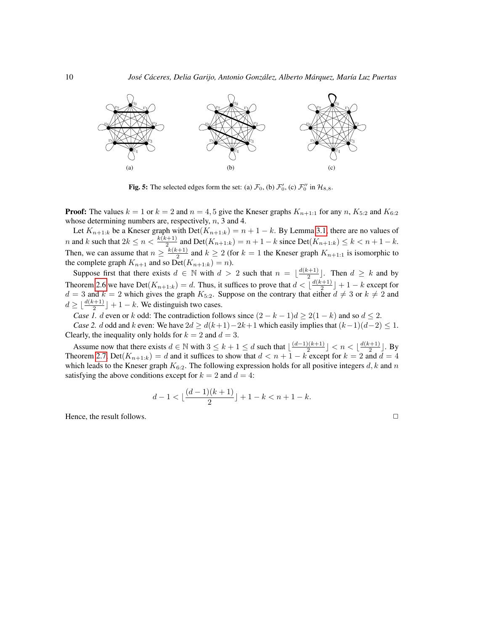<span id="page-9-0"></span>

<span id="page-9-2"></span><span id="page-9-1"></span>**Fig. 5:** The selected edges form the set: (a)  $\mathcal{F}_0$ , (b)  $\mathcal{F}'_0$ , (c)  $\mathcal{F}''_0$  in  $\mathcal{H}_{8,8}$ .

**Proof:** The values  $k = 1$  or  $k = 2$  and  $n = 4, 5$  give the Kneser graphs  $K_{n+1:1}$  for any n,  $K_{5:2}$  and  $K_{6:2}$ whose determining numbers are, respectively,  $n$ , 3 and 4.

Let  $K_{n+1:k}$  be a Kneser graph with  $Det(K_{n+1:k}) = n+1-k$ . By Lemma [3.1,](#page-7-0) there are no values of *n* and k such that  $2k \le n < \frac{k(k+1)}{2}$  and  $Det(K_{n+1:k}) = n+1-k$  since  $Det(K_{n+1:k}) \le k < n+1-k$ . Then, we can assume that  $n \geq \frac{k(k+1)}{2}$  $\frac{n+1}{2}$  and  $k \ge 2$  (for  $k = 1$  the Kneser graph  $K_{n+1:1}$  is isomorphic to the complete graph  $K_{n+1}$  and so  $Det(K_{n+1:k}) = n$ ).

Suppose first that there exists  $d \in \mathbb{N}$  with  $d > 2$  such that  $n = \lfloor \frac{d(k+1)}{2} \rfloor$  $\frac{(k+1)}{2}$ . Then  $d \geq k$  and by Theorem [2.6](#page-3-1) we have Det $(K_{n+1:k}) = d$ . Thus, it suffices to prove that  $d < \lfloor \frac{d(k+1)}{2} \rfloor$  $\left[\frac{k+1}{2}\right]+1-k$  except for  $d = 3$  and  $k = 2$  which gives the graph  $K_{5:2}$ . Suppose on the contrary that either  $d \neq 3$  or  $k \neq 2$  and  $d \geq \lfloor \frac{d(k+1)}{2} \rfloor + 1 - k$ . We distinguish two cases.

*Case 1.* d even or k odd: The contradiction follows since  $(2 - k - 1)d \ge 2(1 - k)$  and so  $d \le 2$ .

*Case 2.* d odd and k even: We have  $2d \ge d(k+1)-2k+1$  which easily implies that  $(k-1)(d-2) \le 1$ . Clearly, the inequality only holds for  $k = 2$  and  $d = 3$ .

Assume now that there exists  $d \in \mathbb{N}$  with  $3 \leq k+1 \leq d$  such that  $\lfloor \frac{(d-1)(k+1)}{2} \rfloor$  $\frac{1}{2}$  |  $\lt n \lt \lfloor \frac{d(k+1)}{2} \rfloor$  $\frac{(n+1)}{2}$ . By Theorem [2.7,](#page-5-0) Det $(K_{n+1:k}) = d$  and it suffices to show that  $d < n+1-k$  except for  $k = 2$  and  $d = 4$ which leads to the Kneser graph  $K_{6:2}$ . The following expression holds for all positive integers d, k and n satisfying the above conditions except for  $k = 2$  and  $d = 4$ :

$$
d-1 < \lfloor \frac{(d-1)(k+1)}{2} \rfloor + 1 - k < n + 1 - k.
$$

Hence, the result follows.  $\Box$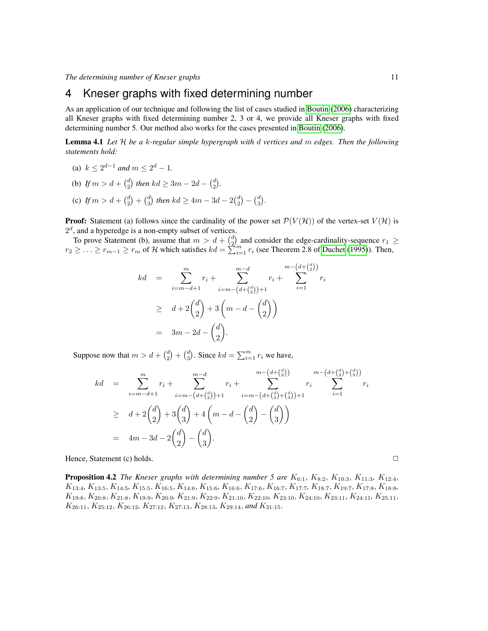## 4 Kneser graphs with fixed determining number

As an application of our technique and following the list of cases studied in [Boutin](#page-13-0) [\(2006\)](#page-13-0) characterizing all Kneser graphs with fixed determining number 2, 3 or 4, we provide all Kneser graphs with fixed determining number 5. Our method also works for the cases presented in [Boutin](#page-13-0) [\(2006\)](#page-13-0).

<span id="page-10-0"></span>Lemma 4.1 *Let* H *be a* k*-regular simple hypergraph with* d *vertices and* m *edges. Then the following statements hold:*

- (a)  $k \leq 2^{d-1}$  and  $m \leq 2^d 1$ .
- (b) If  $m > d + {d \choose 2}$  then  $kd \geq 3m 2d {d \choose 2}$ .
- (c) If  $m > d + {d \choose 2} + {d \choose 3}$  then  $kd \ge 4m 3d 2{d \choose 2} {d \choose 3}$ .

**Proof:** Statement (a) follows since the cardinality of the power set  $\mathcal{P}(V(\mathcal{H}))$  of the vertex-set  $V(\mathcal{H})$  is  $2<sup>d</sup>$ , and a hyperedge is a non-empty subset of vertices.

To prove Statement (b), assume that  $m > d + {d \choose 2}$  and consider the edge-cardinality-sequence  $r_1 \geq$  $r_2 \geq \ldots \geq r_{m-1} \geq r_m$  of H which satisfies  $kd = \sum_{i=1}^{\infty} r_i$  (see Theorem 2.8 of [Duchet](#page-13-13) [\(1995\)](#page-13-13)). Then,

$$
kd = \sum_{i=m-d+1}^{m} r_i + \sum_{i=m-(d+{d \choose 2})+1}^{m-d} r_i + \sum_{i=1}^{m-(d+{d \choose 2})} r_i
$$
  
\n
$$
\geq d + 2\binom{d}{2} + 3\left(m - d - \binom{d}{2}\right)
$$
  
\n
$$
= 3m - 2d - \binom{d}{2}.
$$

Suppose now that  $m > d + \binom{d}{2} + \binom{d}{3}$ . Since  $kd = \sum_{i=1}^{m} r_i$  we have,

$$
kd = \sum_{i=m-d+1}^{m} r_i + \sum_{i=m-(d+(d)(d))+1}^{m-d} r_i + \sum_{i=m-(d+(d)(d))+1}^{m-(d+(d)(d))} r_i
$$
  
\n
$$
\geq d + 2\binom{d}{2} + 3\binom{d}{3} + 4\left(m - d - \binom{d}{2} - \binom{d}{3}\right)
$$
  
\n
$$
= 4m - 3d - 2\binom{d}{2} - \binom{d}{3}.
$$

Hence, Statement (c) holds. ✷

<span id="page-10-1"></span>**Proposition 4.2** *The Kneser graphs with determining number 5 are*  $K_{6:1}$ ,  $K_{8:2}$ ,  $K_{10:3}$ ,  $K_{11:3}$ ,  $K_{12:4}$ , K13:4*,* K13:5, K14:5*,* K15:5, K16:5, K14:6, K15:6*,* K16:6, K17:6, K16:7, K17:7*,* K18:7, K19:7, K17:8, K18:8*,* K19:8, K20:8, K21:8, K19:9, K20:9*,* K21:9, K22:9, K21:10, K22:10*,* K23:10, K24:10, K23:11, K24:11*,* K25:11,  $K_{26:11}, K_{25:12}, K_{26:12}, K_{27:12}, K_{27:13}, K_{28:13}, K_{29:14}, and K_{31:15}.$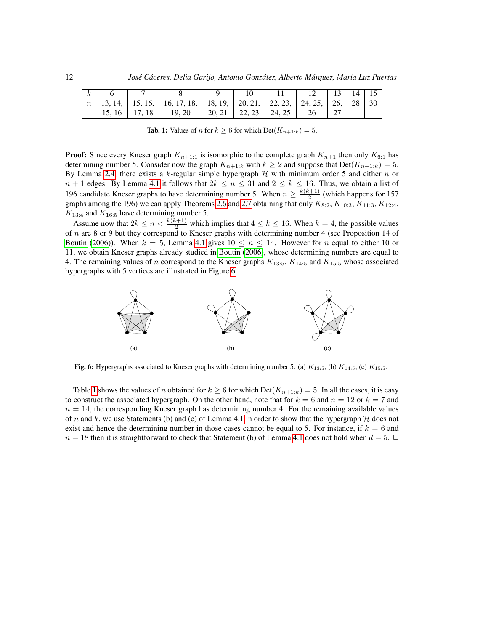| $\boldsymbol{k}$ |                 |                                                                                                                          |                       |  |    | $14 \mid 15$ |    |
|------------------|-----------------|--------------------------------------------------------------------------------------------------------------------------|-----------------------|--|----|--------------|----|
|                  |                 | $n \mid 13, 14, \mid 15, 16, \mid 16, 17, 18, \mid 18, 19, \mid 20, 21, \mid 22, 23, \mid 24, 25, \mid 26, \mid 28 \mid$ |                       |  |    |              | 30 |
|                  | $15.16$   17.18 | 19.20                                                                                                                    | 20.21   22.23   24.25 |  | 26 |              |    |

<span id="page-11-1"></span>**Tab. 1:** Values of *n* for  $k \geq 6$  for which  $Det(K_{n+1:k}) = 5$ .

**Proof:** Since every Kneser graph  $K_{n+1:1}$  is isomorphic to the complete graph  $K_{n+1}$  then only  $K_{6:1}$  has determining number 5. Consider now the graph  $K_{n+1:k}$  with  $k \geq 2$  and suppose that  $Det(K_{n+1:k}) = 5$ . By Lemma [2.4,](#page-3-2) there exists a k-regular simple hypergraph  $H$  with minimum order 5 and either n or  $n + 1$  edges. By Lemma [4.1](#page-10-0) it follows that  $2k \le n \le 31$  and  $2 \le k \le 16$ . Thus, we obtain a list of 196 candidate Kneser graphs to have determining number 5. When  $n \geq \frac{k(k+1)}{2}$  $\frac{(2+1)}{2}$  (which happens for 157 graphs among the 196) we can apply Theorems [2.6](#page-3-1) and [2.7](#page-5-0) obtaining that only  $K_{8:2}$ ,  $K_{10:3}$ ,  $K_{11:3}$ ,  $K_{12:4}$ ,  $K_{13:4}$  and  $K_{16:5}$  have determining number 5.

Assume now that  $2k \le n < \frac{k(k+1)}{2}$  which implies that  $4 \le k \le 16$ . When  $k = 4$ , the possible values of n are 8 or 9 but they correspond to Kneser graphs with determining number 4 (see Proposition 14 of [Boutin](#page-13-0) [\(2006\)](#page-13-0)). When  $k = 5$ , Lemma [4.1](#page-10-0) gives  $10 \le n \le 14$ . However for n equal to either 10 or 11, we obtain Kneser graphs already studied in [Boutin](#page-13-0) [\(2006\)](#page-13-0), whose determining numbers are equal to 4. The remaining values of n correspond to the Kneser graphs  $K_{13:5}$ ,  $K_{14:5}$  and  $K_{15:5}$  whose associated hypergraphs with 5 vertices are illustrated in Figure [6.](#page-11-0)



<span id="page-11-0"></span>Fig. 6: Hypergraphs associated to Kneser graphs with determining number 5: (a)  $K_{13:5}$ , (b)  $K_{14:5}$ , (c)  $K_{15:5}$ .

Table [1](#page-11-1) shows the values of n obtained for  $k \geq 6$  for which Det $(K_{n+1:k}) = 5$ . In all the cases, it is easy to construct the associated hypergraph. On the other hand, note that for  $k = 6$  and  $n = 12$  or  $k = 7$  and  $n = 14$ , the corresponding Kneser graph has determining number 4. For the remaining available values of n and k, we use Statements (b) and (c) of Lemma [4.1](#page-10-0) in order to show that the hypergraph  $H$  does not exist and hence the determining number in those cases cannot be equal to 5. For instance, if  $k = 6$  and  $n = 18$  then it is straightforward to check that Statement (b) of Lemma [4.1](#page-10-0) does not hold when  $d = 5$ .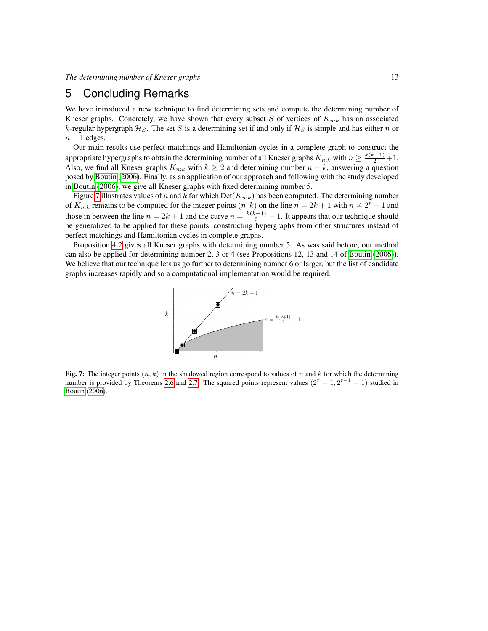### 5 Concluding Remarks

We have introduced a new technique to find determining sets and compute the determining number of Kneser graphs. Concretely, we have shown that every subset S of vertices of  $K_{n:k}$  has an associated k-regular hypergraph  $\mathcal{H}_S$ . The set S is a determining set if and only if  $\mathcal{H}_S$  is simple and has either n or  $n - 1$  edges.

Our main results use perfect matchings and Hamiltonian cycles in a complete graph to construct the appropriate hypergraphs to obtain the determining number of all Kneser graphs  $K_{n:k}$  with  $n \geq \frac{k(k+1)}{2} + 1$ . Also, we find all Kneser graphs  $K_{n:k}$  with  $k \ge 2$  and determining number  $n - k$ , answering a question posed by [Boutin](#page-13-0) [\(2006\)](#page-13-0). Finally, as an application of our approach and following with the study developed in [Boutin](#page-13-0) [\(2006\)](#page-13-0), we give all Kneser graphs with fixed determining number 5.

Figure [7](#page-12-0) illustrates values of n and k for which  $Det(K_{n:k})$  has been computed. The determining number of  $K_{n:k}$  remains to be computed for the integer points  $(n, k)$  on the line  $n = 2k + 1$  with  $n \neq 2^r - 1$  and those in between the line  $n = 2k + 1$  and the curve  $n = \frac{k(k+1)}{2} + 1$ . It appears that our technique should be generalized to be applied for these points, constructing hypergraphs from other structures instead of perfect matchings and Hamiltonian cycles in complete graphs.

Proposition [4.2](#page-10-1) gives all Kneser graphs with determining number 5. As was said before, our method can also be applied for determining number 2, 3 or 4 (see Propositions 12, 13 and 14 of [Boutin](#page-13-0) [\(2006\)](#page-13-0)). We believe that our technique lets us go further to determining number 6 or larger, but the list of candidate graphs increases rapidly and so a computational implementation would be required.



<span id="page-12-0"></span>Fig. 7: The integer points  $(n, k)$  in the shadowed region correspond to values of n and k for which the determining number is provided by Theorems [2.6](#page-3-1) and [2.7.](#page-5-0) The squared points represent values  $(2^{r} - 1, 2^{r-1} - 1)$  studied in [Boutin](#page-13-0) [\(2006\)](#page-13-0).